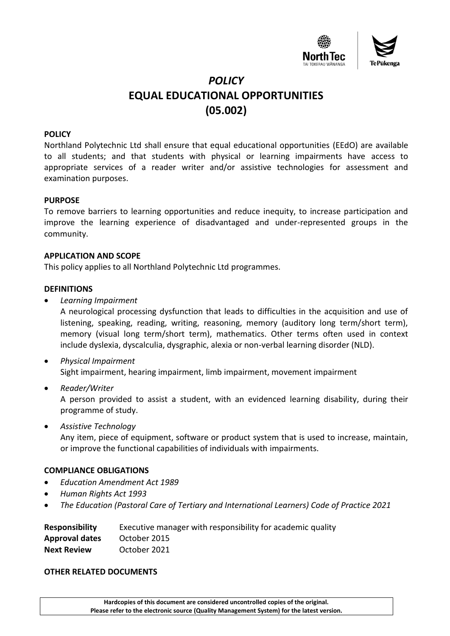

# *POLICY* **EQUAL EDUCATIONAL OPPORTUNITIES (05.002)**

## **POLICY**

Northland Polytechnic Ltd shall ensure that equal educational opportunities (EEdO) are available to all students; and that students with physical or learning impairments have access to appropriate services of a reader writer and/or assistive technologies for assessment and examination purposes.

#### **PURPOSE**

To remove barriers to learning opportunities and reduce inequity, to increase participation and improve the learning experience of disadvantaged and under-represented groups in the community.

## **APPLICATION AND SCOPE**

This policy applies to all Northland Polytechnic Ltd programmes.

## **DEFINITIONS**

• *Learning Impairment*

A neurological processing dysfunction that leads to difficulties in the acquisition and use of listening, speaking, reading, writing, reasoning, memory (auditory long term/short term), memory (visual long term/short term), mathematics. Other terms often used in context include dyslexia, dyscalculia, dysgraphic, alexia or non-verbal learning disorder (NLD).

- *Physical Impairment* Sight impairment, hearing impairment, limb impairment, movement impairment
- *Reader/Writer*

A person provided to assist a student, with an evidenced learning disability, during their programme of study.

• *Assistive Technology*

Any item, piece of equipment, software or product system that is used to increase, maintain, or improve the functional capabilities of individuals with impairments.

## **COMPLIANCE OBLIGATIONS**

- *Education Amendment Act 1989*
- *Human Rights Act 1993*
- *The Education (Pastoral Care of Tertiary and International Learners) Code of Practice 2021*

| <b>Responsibility</b> | Executive manager with responsibility for academic quality |
|-----------------------|------------------------------------------------------------|
| <b>Approval dates</b> | October 2015                                               |
| <b>Next Review</b>    | October 2021                                               |

#### **OTHER RELATED DOCUMENTS**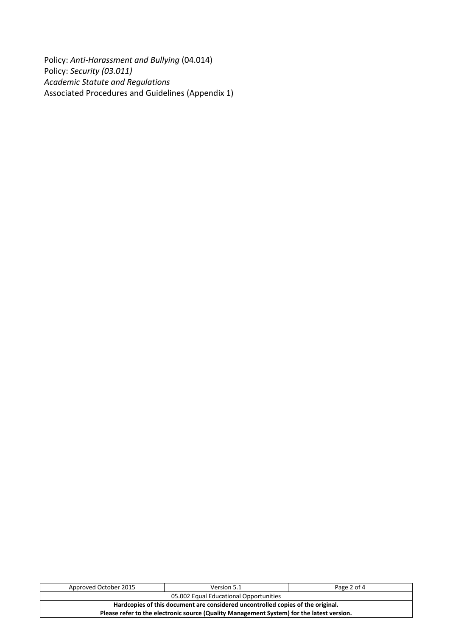Policy: *Anti-Harassment and Bullying* (04.014) Policy: *Security (03.011) Academic Statute and Regulations*  Associated Procedures and Guidelines (Appendix 1)

| Approved October 2015                                                                     | Version 5.1 | Page 2 of 4 |  |  |
|-------------------------------------------------------------------------------------------|-------------|-------------|--|--|
| 05.002 Equal Educational Opportunities                                                    |             |             |  |  |
| Hardcopies of this document are considered uncontrolled copies of the original.           |             |             |  |  |
| Please refer to the electronic source (Quality Management System) for the latest version. |             |             |  |  |
|                                                                                           |             |             |  |  |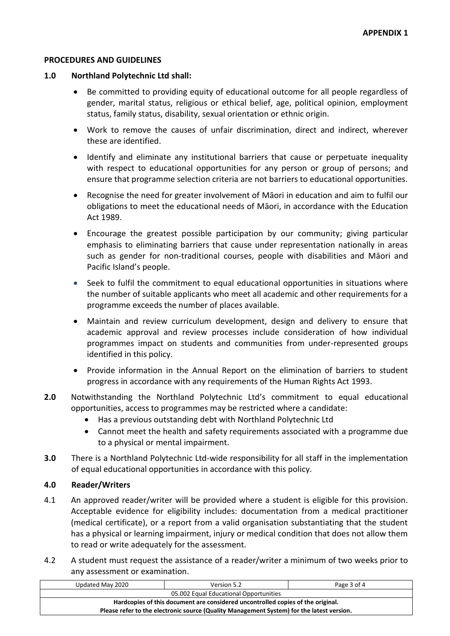## **PROCEDURES AND GUIDELINES**

## **1.0 Northland Polytechnic Ltd shall:**

- Be committed to providing equity of educational outcome for all people regardless of gender, marital status, religious or ethical belief, age, political opinion, employment status, family status, disability, sexual orientation or ethnic origin.
- Work to remove the causes of unfair discrimination, direct and indirect, wherever these are identified.
- Identify and eliminate any institutional barriers that cause or perpetuate inequality with respect to educational opportunities for any person or group of persons; and ensure that programme selection criteria are not barriers to educational opportunities.
- Recognise the need for greater involvement of Māori in education and aim to fulfil our obligations to meet the educational needs of Māori, in accordance with the Education Act 1989.
- Encourage the greatest possible participation by our community; giving particular emphasis to eliminating barriers that cause under representation nationally in areas such as gender for non-traditional courses, people with disabilities and Māori and Pacific Island's people.
- Seek to fulfil the commitment to equal educational opportunities in situations where the number of suitable applicants who meet all academic and other requirements for a programme exceeds the number of places available.
- Maintain and review curriculum development, design and delivery to ensure that academic approval and review processes include consideration of how individual programmes impact on students and communities from under-represented groups identified in this policy.
- Provide information in the Annual Report on the elimination of barriers to student progress in accordance with any requirements of the Human Rights Act 1993.
- **2.0** Notwithstanding the Northland Polytechnic Ltd's commitment to equal educational opportunities, access to programmes may be restricted where a candidate:
	- Has a previous outstanding debt with Northland Polytechnic Ltd
	- Cannot meet the health and safety requirements associated with a programme due to a physical or mental impairment.
- **3.0** There is a Northland Polytechnic Ltd-wide responsibility for all staff in the implementation of equal educational opportunities in accordance with this policy.

# **4.0 Reader/Writers**

- 4.1 An approved reader/writer will be provided where a student is eligible for this provision. Acceptable evidence for eligibility includes: documentation from a medical practitioner (medical certificate), or a report from a valid organisation substantiating that the student has a physical or learning impairment, injury or medical condition that does not allow them to read or write adequately for the assessment.
- 4.2 A student must request the assistance of a reader/writer a minimum of two weeks prior to any assessment or examination.

| Updated May 2020                                                                          | Version 5.2 | Page 3 of 4 |  |  |
|-------------------------------------------------------------------------------------------|-------------|-------------|--|--|
| 05.002 Equal Educational Opportunities                                                    |             |             |  |  |
| Hardcopies of this document are considered uncontrolled copies of the original.           |             |             |  |  |
| Please refer to the electronic source (Quality Management System) for the latest version. |             |             |  |  |